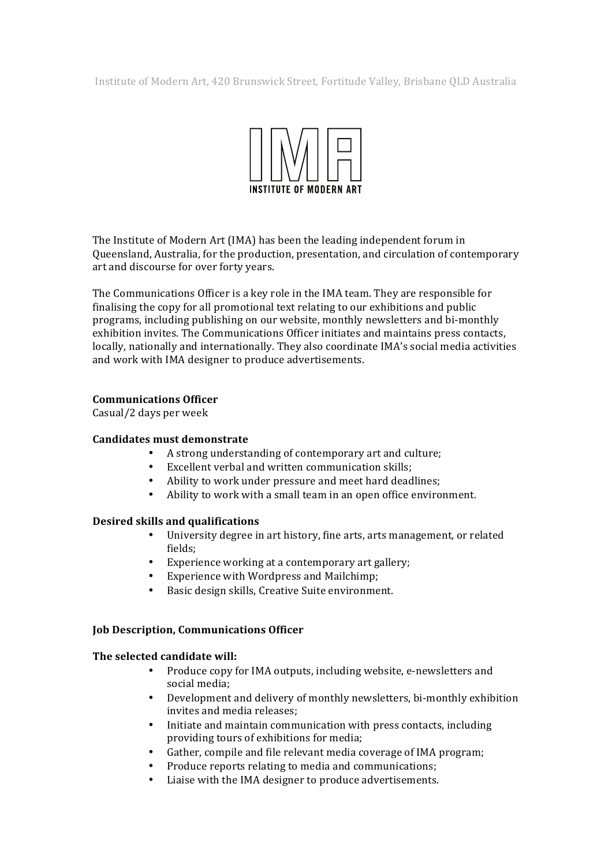Institute of Modern Art, 420 Brunswick Street, Fortitude Valley, Brisbane OLD Australia



The Institute of Modern Art (IMA) has been the leading independent forum in Queensland, Australia, for the production, presentation, and circulation of contemporary art and discourse for over forty years.

The Communications Officer is a key role in the IMA team. They are responsible for finalising the copy for all promotional text relating to our exhibitions and public programs, including publishing on our website, monthly newsletters and bi-monthly exhibition invites. The Communications Officer initiates and maintains press contacts, locally, nationally and internationally. They also coordinate IMA's social media activities and work with IMA designer to produce advertisements.

# **Communications Officer**

Casual/2 days per week

# **Candidates must demonstrate**

- A strong understanding of contemporary art and culture;
- Excellent verbal and written communication skills;
- Ability to work under pressure and meet hard deadlines;
- Ability to work with a small team in an open office environment.

# **Desired skills and qualifications**

- University degree in art history, fine arts, arts management, or related fields;
- Experience working at a contemporary art gallery:
- Experience with Wordpress and Mailchimp;
- Basic design skills, Creative Suite environment.

# **Job Description, Communications Officer**

# The selected candidate will:

- Produce copy for IMA outputs, including website, e-newsletters and social media;
- Development and delivery of monthly newsletters, bi-monthly exhibition invites and media releases;
- Initiate and maintain communication with press contacts, including providing tours of exhibitions for media;
- Gather, compile and file relevant media coverage of IMA program;
- Produce reports relating to media and communications;
- Liaise with the IMA designer to produce advertisements.